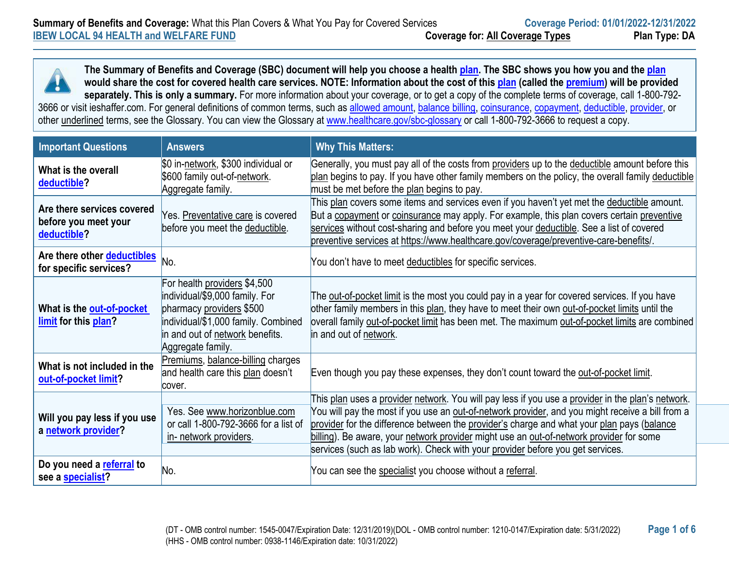

| <b>Important Questions</b>                                        | <b>Answers</b>                                                                                                                                                                            | <b>Why This Matters:</b>                                                                                                                                                                                                                                                                                                                                                                                                                                                         |
|-------------------------------------------------------------------|-------------------------------------------------------------------------------------------------------------------------------------------------------------------------------------------|----------------------------------------------------------------------------------------------------------------------------------------------------------------------------------------------------------------------------------------------------------------------------------------------------------------------------------------------------------------------------------------------------------------------------------------------------------------------------------|
| What is the overall<br>deductible?                                | \$0 in-network, \$300 individual or<br>\$600 family out-of-network.<br>Aggregate family.                                                                                                  | Generally, you must pay all of the costs from providers up to the deductible amount before this<br>plan begins to pay. If you have other family members on the policy, the overall family deductible<br>must be met before the plan begins to pay.                                                                                                                                                                                                                               |
| Are there services covered<br>before you meet your<br>deductible? | Yes. Preventative care is covered<br>before you meet the deductible.                                                                                                                      | This plan covers some items and services even if you haven't yet met the deductible amount.<br>But a copayment or coinsurance may apply. For example, this plan covers certain preventive<br>services without cost-sharing and before you meet your deductible. See a list of covered<br>preventive services at https://www.healthcare.gov/coverage/preventive-care-benefits/.                                                                                                   |
| Are there other deductibles<br>for specific services?             | No.                                                                                                                                                                                       | You don't have to meet deductibles for specific services.                                                                                                                                                                                                                                                                                                                                                                                                                        |
| What is the out-of-pocket<br>limit for this plan?                 | For health providers \$4,500<br>individual/\$9,000 family. For<br>pharmacy providers \$500<br>individual/\$1,000 family. Combined<br>in and out of network benefits.<br>Aggregate family. | The out-of-pocket limit is the most you could pay in a year for covered services. If you have<br>other family members in this plan, they have to meet their own out-of-pocket limits until the<br>overall family out-of-pocket limit has been met. The maximum out-of-pocket limits are combined<br>in and out of network.                                                                                                                                                       |
| What is not included in the<br>out-of-pocket limit?               | Premiums, balance-billing charges<br>and health care this plan doesn't<br>cover.                                                                                                          | Even though you pay these expenses, they don't count toward the out-of-pocket limit.                                                                                                                                                                                                                                                                                                                                                                                             |
| Will you pay less if you use<br>a network provider?               | Yes. See www.horizonblue.com<br>or call 1-800-792-3666 for a list of<br>in- network providers.                                                                                            | This plan uses a provider network. You will pay less if you use a provider in the plan's network.<br>You will pay the most if you use an out-of-network provider, and you might receive a bill from a<br>provider for the difference between the provider's charge and what your plan pays (balance<br>billing). Be aware, your network provider might use an out-of-network provider for some<br>services (such as lab work). Check with your provider before you get services. |
| Do you need a referral to<br>see a specialist?                    | No.                                                                                                                                                                                       | You can see the specialist you choose without a referral.                                                                                                                                                                                                                                                                                                                                                                                                                        |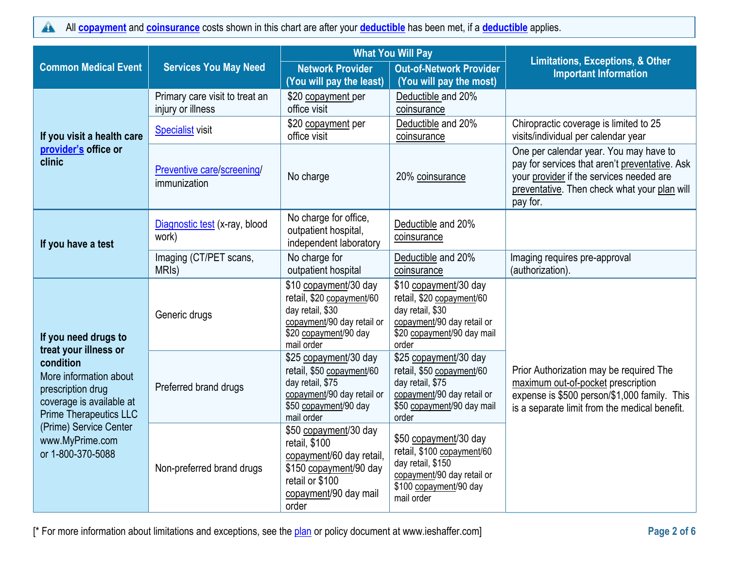All **[copayment](https://www.healthcare.gov/sbc-glossary/#copayment)** and **[coinsurance](https://www.healthcare.gov/sbc-glossary/#coinsurance)** costs shown in this chart are after your **[deductible](https://www.healthcare.gov/sbc-glossary/#deductible)** has been met, if a **[deductible](https://www.healthcare.gov/sbc-glossary/#deductible)** applies.  $\blacktriangle$ 

|                                                                                                                                                |                                                     | <b>What You Will Pay</b>                                                                                                                          |                                                                                                                                                | <b>Limitations, Exceptions, &amp; Other</b>                                                                                                                                                      |
|------------------------------------------------------------------------------------------------------------------------------------------------|-----------------------------------------------------|---------------------------------------------------------------------------------------------------------------------------------------------------|------------------------------------------------------------------------------------------------------------------------------------------------|--------------------------------------------------------------------------------------------------------------------------------------------------------------------------------------------------|
| <b>Common Medical Event</b>                                                                                                                    | <b>Services You May Need</b>                        | <b>Network Provider</b><br>(You will pay the least)                                                                                               | <b>Out-of-Network Provider</b><br>(You will pay the most)                                                                                      | <b>Important Information</b>                                                                                                                                                                     |
|                                                                                                                                                | Primary care visit to treat an<br>injury or illness | \$20 copayment per<br>office visit                                                                                                                | Deductible and 20%<br>coinsurance                                                                                                              |                                                                                                                                                                                                  |
| If you visit a health care                                                                                                                     | <b>Specialist visit</b>                             | \$20 copayment per<br>office visit                                                                                                                | Deductible and 20%<br>coinsurance                                                                                                              | Chiropractic coverage is limited to 25<br>visits/individual per calendar year                                                                                                                    |
| provider's office or<br>clinic                                                                                                                 | Preventive care/screening/<br>immunization          | No charge                                                                                                                                         | 20% coinsurance                                                                                                                                | One per calendar year. You may have to<br>pay for services that aren't preventative. Ask<br>your provider if the services needed are<br>preventative. Then check what your plan will<br>pay for. |
| If you have a test                                                                                                                             | Diagnostic test (x-ray, blood<br>work)              | No charge for office,<br>outpatient hospital,<br>independent laboratory                                                                           | Deductible and 20%<br>coinsurance                                                                                                              |                                                                                                                                                                                                  |
|                                                                                                                                                | Imaging (CT/PET scans,<br>MRI <sub>s</sub> )        | No charge for<br>outpatient hospital                                                                                                              | Deductible and 20%<br>coinsurance                                                                                                              | Imaging requires pre-approval<br>(authorization).                                                                                                                                                |
| If you need drugs to                                                                                                                           | Generic drugs                                       | \$10 copayment/30 day<br>retail, \$20 copayment/60<br>day retail, \$30<br>copayment/90 day retail or<br>\$20 copayment/90 day<br>mail order       | \$10 copayment/30 day<br>retail, \$20 copayment/60<br>day retail, \$30<br>copayment/90 day retail or<br>\$20 copayment/90 day mail<br>order    |                                                                                                                                                                                                  |
| treat your illness or<br>condition<br>More information about<br>prescription drug<br>coverage is available at<br><b>Prime Therapeutics LLC</b> | Preferred brand drugs                               | \$25 copayment/30 day<br>retail, \$50 copayment/60<br>day retail, \$75<br>copayment/90 day retail or<br>\$50 copayment/90 day<br>mail order       | \$25 copayment/30 day<br>retail, \$50 copayment/60<br>day retail, \$75<br>copayment/90 day retail or<br>\$50 copayment/90 day mail<br>order    | Prior Authorization may be required The<br>maximum out-of-pocket prescription<br>expense is \$500 person/\$1,000 family. This<br>is a separate limit from the medical benefit.                   |
| (Prime) Service Center<br>www.MyPrime.com<br>or 1-800-370-5088                                                                                 | Non-preferred brand drugs                           | \$50 copayment/30 day<br>retail, \$100<br>copayment/60 day retail,<br>\$150 copayment/90 day<br>retail or \$100<br>copayment/90 day mail<br>order | \$50 copayment/30 day<br>retail, \$100 copayment/60<br>day retail, \$150<br>copayment/90 day retail or<br>\$100 copayment/90 day<br>mail order |                                                                                                                                                                                                  |

[\* For more information about limitations and exceptions, see the **plan** or policy document at www.ieshaffer.com] **Page 2 of 6** Page 2 of 6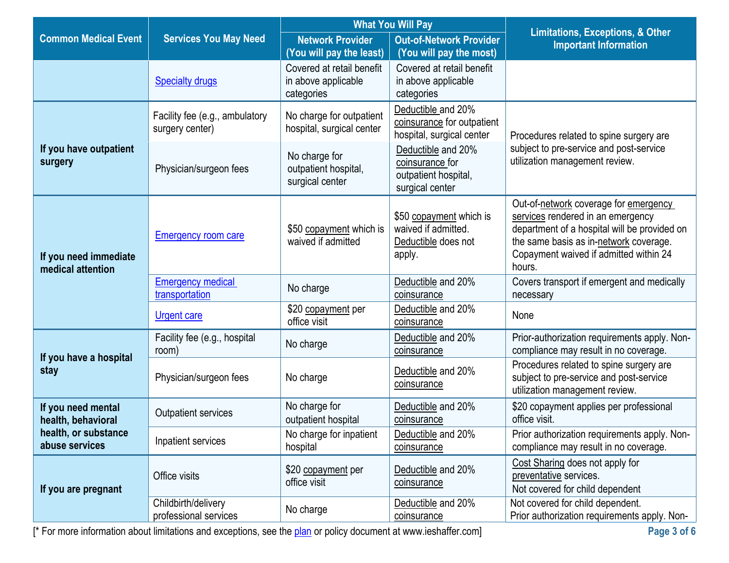|                                            |                                                   | <b>What You Will Pay</b>                                       |                                                                                  | <b>Limitations, Exceptions, &amp; Other</b>                                                                                                                                                                              |  |
|--------------------------------------------|---------------------------------------------------|----------------------------------------------------------------|----------------------------------------------------------------------------------|--------------------------------------------------------------------------------------------------------------------------------------------------------------------------------------------------------------------------|--|
| <b>Common Medical Event</b>                | <b>Services You May Need</b>                      | <b>Network Provider</b>                                        | <b>Out-of-Network Provider</b>                                                   | <b>Important Information</b>                                                                                                                                                                                             |  |
|                                            |                                                   | (You will pay the least)                                       | (You will pay the most)                                                          |                                                                                                                                                                                                                          |  |
|                                            | <b>Specialty drugs</b>                            | Covered at retail benefit<br>in above applicable<br>categories | Covered at retail benefit<br>in above applicable<br>categories                   |                                                                                                                                                                                                                          |  |
|                                            | Facility fee (e.g., ambulatory<br>surgery center) | No charge for outpatient<br>hospital, surgical center          | Deductible and 20%<br>coinsurance for outpatient<br>hospital, surgical center    | Procedures related to spine surgery are                                                                                                                                                                                  |  |
| If you have outpatient<br>surgery          | Physician/surgeon fees                            | No charge for<br>outpatient hospital,<br>surgical center       | Deductible and 20%<br>coinsurance for<br>outpatient hospital,<br>surgical center | subject to pre-service and post-service<br>utilization management review.                                                                                                                                                |  |
| If you need immediate<br>medical attention | <b>Emergency room care</b>                        | \$50 copayment which is<br>waived if admitted                  | \$50 copayment which is<br>waived if admitted.<br>Deductible does not<br>apply.  | Out-of-network coverage for emergency<br>services rendered in an emergency<br>department of a hospital will be provided on<br>the same basis as in-network coverage.<br>Copayment waived if admitted within 24<br>hours. |  |
|                                            | <b>Emergency medical</b><br>transportation        | No charge                                                      | Deductible and 20%<br>coinsurance                                                | Covers transport if emergent and medically<br>necessary                                                                                                                                                                  |  |
|                                            | <b>Urgent care</b>                                | \$20 copayment per<br>office visit                             | Deductible and 20%<br>coinsurance                                                | None                                                                                                                                                                                                                     |  |
| If you have a hospital                     | Facility fee (e.g., hospital<br>room)             | No charge                                                      | Deductible and 20%<br>coinsurance                                                | Prior-authorization requirements apply. Non-<br>compliance may result in no coverage.                                                                                                                                    |  |
| stay                                       | Physician/surgeon fees                            | No charge                                                      | Deductible and 20%<br>coinsurance                                                | Procedures related to spine surgery are<br>subject to pre-service and post-service<br>utilization management review.                                                                                                     |  |
| If you need mental<br>health, behavioral   | <b>Outpatient services</b>                        | No charge for<br>outpatient hospital                           | Deductible and 20%<br>coinsurance                                                | \$20 copayment applies per professional<br>office visit.                                                                                                                                                                 |  |
| health, or substance<br>abuse services     | Inpatient services                                | No charge for inpatient<br>hospital                            | Deductible and 20%<br>coinsurance                                                | Prior authorization requirements apply. Non-<br>compliance may result in no coverage.                                                                                                                                    |  |
| If you are pregnant                        | Office visits                                     | \$20 copayment per<br>office visit                             | Deductible and 20%<br>coinsurance                                                | Cost Sharing does not apply for<br>preventative services.<br>Not covered for child dependent                                                                                                                             |  |
|                                            | Childbirth/delivery<br>professional services      | No charge                                                      | Deductible and 20%<br>coinsurance                                                | Not covered for child dependent.<br>Prior authorization requirements apply. Non-                                                                                                                                         |  |

[\* For more information about limitations and exceptions, see the [plan](https://www.healthcare.gov/sbc-glossary/#plan) or policy document at www.ieshaffer.com] **Page 3 of 6**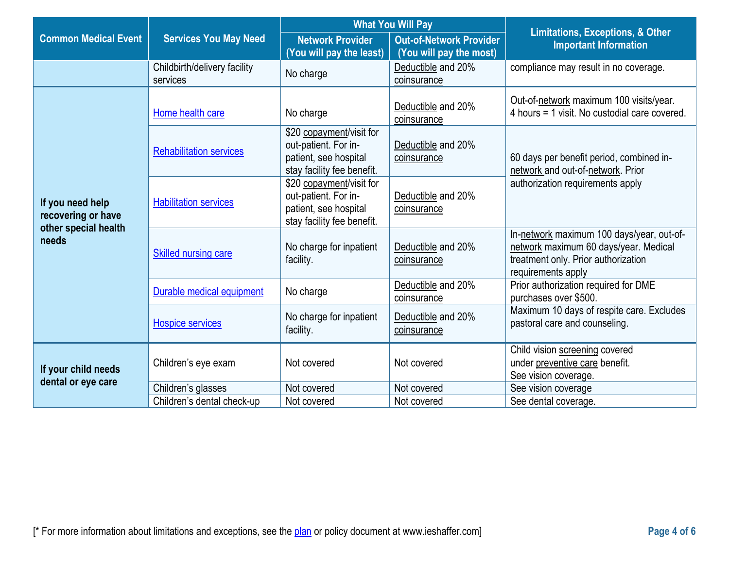|                                           |                                          | <b>What You Will Pay</b>                                                                                |                                                           | <b>Limitations, Exceptions, &amp; Other</b>                                                                                                     |  |
|-------------------------------------------|------------------------------------------|---------------------------------------------------------------------------------------------------------|-----------------------------------------------------------|-------------------------------------------------------------------------------------------------------------------------------------------------|--|
| <b>Common Medical Event</b>               | <b>Services You May Need</b>             | <b>Network Provider</b><br>(You will pay the least)                                                     | <b>Out-of-Network Provider</b><br>(You will pay the most) | <b>Important Information</b>                                                                                                                    |  |
|                                           | Childbirth/delivery facility<br>services | No charge                                                                                               | Deductible and 20%<br>coinsurance                         | compliance may result in no coverage.                                                                                                           |  |
|                                           | Home health care                         | No charge                                                                                               | Deductible and 20%<br>coinsurance                         | Out-of-network maximum 100 visits/year.<br>4 hours = 1 visit. No custodial care covered.                                                        |  |
|                                           | <b>Rehabilitation services</b>           | \$20 copayment/visit for<br>out-patient. For in-<br>patient, see hospital<br>stay facility fee benefit. | Deductible and 20%<br>coinsurance                         | 60 days per benefit period, combined in-<br>network and out-of-network. Prior                                                                   |  |
| If you need help<br>recovering or have    | <b>Habilitation services</b>             | \$20 copayment/visit for<br>out-patient. For in-<br>patient, see hospital<br>stay facility fee benefit. | Deductible and 20%<br>coinsurance                         | authorization requirements apply                                                                                                                |  |
| other special health<br>needs             | <b>Skilled nursing care</b>              | No charge for inpatient<br>facility.                                                                    | Deductible and 20%<br>coinsurance                         | In-network maximum 100 days/year, out-of-<br>network maximum 60 days/year. Medical<br>treatment only. Prior authorization<br>requirements apply |  |
|                                           | Durable medical equipment                | No charge                                                                                               | Deductible and 20%<br>coinsurance                         | Prior authorization required for DME<br>purchases over \$500.                                                                                   |  |
|                                           | <b>Hospice services</b>                  | No charge for inpatient<br>facility.                                                                    | Deductible and 20%<br>coinsurance                         | Maximum 10 days of respite care. Excludes<br>pastoral care and counseling.                                                                      |  |
| If your child needs<br>dental or eye care | Children's eye exam                      | Not covered                                                                                             | Not covered                                               | Child vision screening covered<br>under preventive care benefit.<br>See vision coverage.                                                        |  |
|                                           | Children's glasses                       | Not covered                                                                                             | Not covered                                               | See vision coverage                                                                                                                             |  |
|                                           | Children's dental check-up               | Not covered                                                                                             | Not covered                                               | See dental coverage.                                                                                                                            |  |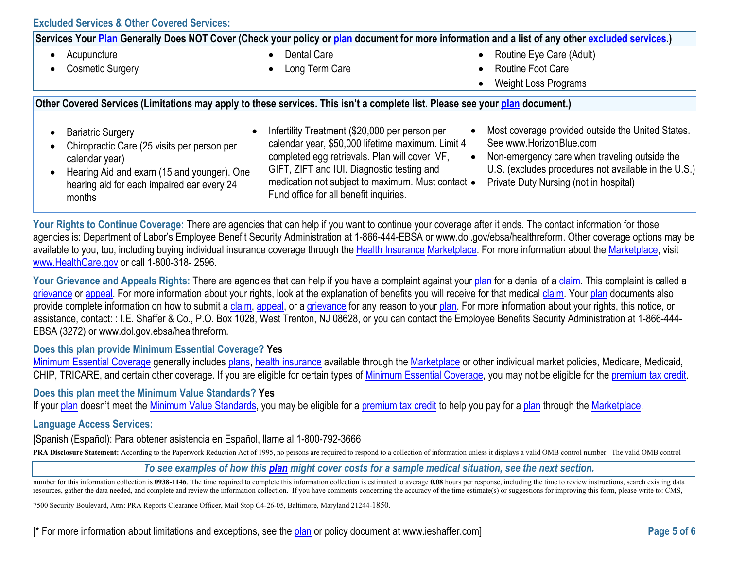| Services Your <mark>Plan</mark> Generally Does NOT Cover (Check your policy or plan document for more information and a list of any other <u>excluded services</u> .)                           |                                                                                                                                                                                                                                                                                                    |                                                                                                                                                                                                                                 |  |  |
|-------------------------------------------------------------------------------------------------------------------------------------------------------------------------------------------------|----------------------------------------------------------------------------------------------------------------------------------------------------------------------------------------------------------------------------------------------------------------------------------------------------|---------------------------------------------------------------------------------------------------------------------------------------------------------------------------------------------------------------------------------|--|--|
| Acupuncture                                                                                                                                                                                     | Dental Care                                                                                                                                                                                                                                                                                        | Routine Eye Care (Adult)<br>$\bullet$                                                                                                                                                                                           |  |  |
| <b>Cosmetic Surgery</b><br>$\bullet$                                                                                                                                                            | Long Term Care                                                                                                                                                                                                                                                                                     | <b>Routine Foot Care</b><br>$\bullet$                                                                                                                                                                                           |  |  |
|                                                                                                                                                                                                 |                                                                                                                                                                                                                                                                                                    | <b>Weight Loss Programs</b><br>$\bullet$                                                                                                                                                                                        |  |  |
| Other Covered Services (Limitations may apply to these services. This isn't a complete list. Please see your plan document.)                                                                    |                                                                                                                                                                                                                                                                                                    |                                                                                                                                                                                                                                 |  |  |
| <b>Bariatric Surgery</b><br>Chiropractic Care (25 visits per person per<br>calendar year)<br>Hearing Aid and exam (15 and younger). One<br>hearing aid for each impaired ear every 24<br>months | Infertility Treatment (\$20,000 per person per<br>calendar year, \$50,000 lifetime maximum. Limit 4<br>completed egg retrievals. Plan will cover IVF,<br>GIFT, ZIFT and IUI. Diagnostic testing and<br>medication not subject to maximum. Must contact .<br>Fund office for all benefit inquiries. | Most coverage provided outside the United States.<br>See www.HorizonBlue.com<br>Non-emergency care when traveling outside the<br>U.S. (excludes procedures not available in the U.S.)<br>Private Duty Nursing (not in hospital) |  |  |

Your Rights to Continue Coverage: There are agencies that can help if you want to continue your coverage after it ends. The contact information for those agencies is: Department of Labor's Employee Benefit Security Administration at 1-866-444-EBSA or www.dol.gov/ebsa/healthreform. Other coverage options may be available to you, too, including buying individual insurance coverage through the [Health Insurance](https://www.healthcare.gov/sbc-glossary/#health-insurance) [Marketplace.](https://www.healthcare.gov/sbc-glossary/#marketplace) For more information about the [Marketplace,](https://www.healthcare.gov/sbc-glossary/#marketplace) visit [www.HealthCare.gov](http://www.healthcare.gov/) or call 1-800-318- 2596.

Your Grievance and Appeals Rights: There are agencies that can help if you have a complaint against your [plan](https://www.healthcare.gov/sbc-glossary/#plan) for a denial of a [claim.](https://www.healthcare.gov/sbc-glossary/#claim) This complaint is called a [grievance](https://www.healthcare.gov/sbc-glossary/#grievance) or [appeal.](https://www.healthcare.gov/sbc-glossary/#appeal) For more information about your rights, look at the explanation of benefits you will receive for that medical [claim.](https://www.healthcare.gov/sbc-glossary/#claim) Your [plan](https://www.healthcare.gov/sbc-glossary/#plan) documents also provide complete information on how to submit a [claim,](https://www.healthcare.gov/sbc-glossary/#claim) [appeal,](https://www.healthcare.gov/sbc-glossary/#appeal) or a [grievance](https://www.healthcare.gov/sbc-glossary/#grievance) for any reason to your [plan.](https://www.healthcare.gov/sbc-glossary/#plan) For more information about your rights, this notice, or assistance, contact: : I.E. Shaffer & Co., P.O. Box 1028, West Trenton, NJ 08628, or you can contact the Employee Benefits Security Administration at 1-866-444-EBSA (3272) or www.dol.gov.ebsa/healthreform.

## **Does this plan provide Minimum Essential Coverage? Yes**

[Minimum Essential Coverage](https://www.healthcare.gov/sbc-glossary/#minimum-essential-coverage) generally includes [plans,](https://www.healthcare.gov/sbc-glossary/#plan) [health insurance](https://www.healthcare.gov/sbc-glossary/#health-insurance) available through the [Marketplace](https://www.healthcare.gov/sbc-glossary/#marketplace) or other individual market policies, Medicare, Medicaid, CHIP, TRICARE, and certain other coverage. If you are eligible for certain types of [Minimum Essential Coverage,](https://www.healthcare.gov/sbc-glossary/#minimum-essential-coverage) you may not be eligible for the [premium tax credit.](https://www.healthcare.gov/sbc-glossary/#premium-tax-credits)

#### **Does this plan meet the Minimum Value Standards? Yes**

If your [plan](https://www.healthcare.gov/sbc-glossary/#plan) doesn't meet the [Minimum Value Standards,](https://www.healthcare.gov/sbc-glossary/#minimum-value-standard) you may be eligible for a [premium tax credit](https://www.healthcare.gov/sbc-glossary/#premium-tax-credits) to help you pay for a plan through the [Marketplace.](https://www.healthcare.gov/sbc-glossary/#marketplace)

### **Language Access Services:**

[Spanish (Español): Para obtener asistencia en Español, llame al 1-800-792-3666

PRA Disclosure Statement: According to the Paperwork Reduction Act of 1995, no persons are required to respond to a collection of information unless it displays a valid OMB control number. The valid OMB control

*To see examples of how this [plan](https://www.healthcare.gov/sbc-glossary/#plan) might cover costs for a sample medical situation, see the next section.*

number for this information collection is 0938-1146. The time required to complete this information collection is estimated to average 0.08 hours per response, including the time to review instructions, search existing dat resources, gather the data needed, and complete and review the information collection. If you have comments concerning the accuracy of the time estimate(s) or suggestions for improving this form, please write to: CMS,

7500 Security Boulevard, Attn: PRA Reports Clearance Officer, Mail Stop C4-26-05, Baltimore, Maryland 21244-1850.